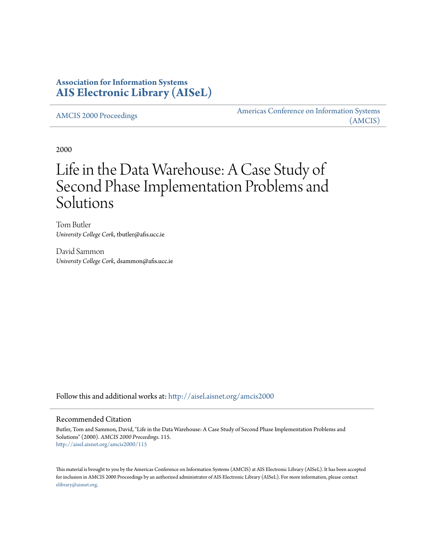# **Association for Information Systems [AIS Electronic Library \(AISeL\)](http://aisel.aisnet.org?utm_source=aisel.aisnet.org%2Famcis2000%2F115&utm_medium=PDF&utm_campaign=PDFCoverPages)**

[AMCIS 2000 Proceedings](http://aisel.aisnet.org/amcis2000?utm_source=aisel.aisnet.org%2Famcis2000%2F115&utm_medium=PDF&utm_campaign=PDFCoverPages)

[Americas Conference on Information Systems](http://aisel.aisnet.org/amcis?utm_source=aisel.aisnet.org%2Famcis2000%2F115&utm_medium=PDF&utm_campaign=PDFCoverPages) [\(AMCIS\)](http://aisel.aisnet.org/amcis?utm_source=aisel.aisnet.org%2Famcis2000%2F115&utm_medium=PDF&utm_campaign=PDFCoverPages)

2000

# Life in the Data Warehouse: A Case Study of Second Phase Implementation Problems and Solutions

Tom Butler *University College Cork*, tbutler@afis.ucc.ie

David Sammon *University College Cork*, dsammon@afis.ucc.ie

Follow this and additional works at: [http://aisel.aisnet.org/amcis2000](http://aisel.aisnet.org/amcis2000?utm_source=aisel.aisnet.org%2Famcis2000%2F115&utm_medium=PDF&utm_campaign=PDFCoverPages)

#### Recommended Citation

Butler, Tom and Sammon, David, "Life in the Data Warehouse: A Case Study of Second Phase Implementation Problems and Solutions" (2000). *AMCIS 2000 Proceedings*. 115. [http://aisel.aisnet.org/amcis2000/115](http://aisel.aisnet.org/amcis2000/115?utm_source=aisel.aisnet.org%2Famcis2000%2F115&utm_medium=PDF&utm_campaign=PDFCoverPages)

This material is brought to you by the Americas Conference on Information Systems (AMCIS) at AIS Electronic Library (AISeL). It has been accepted for inclusion in AMCIS 2000 Proceedings by an authorized administrator of AIS Electronic Library (AISeL). For more information, please contact [elibrary@aisnet.org.](mailto:elibrary@aisnet.org%3E)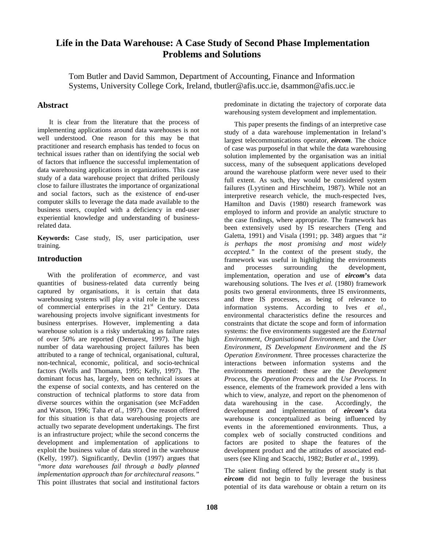# **Life in the Data Warehouse: A Case Study of Second Phase Implementation Problems and Solutions**

Tom Butler and David Sammon, Department of Accounting, Finance and Information Systems, University College Cork, Ireland, tbutler@afis.ucc.ie, dsammon@afis.ucc.ie

#### **Abstract**

 It is clear from the literature that the process of implementing applications around data warehouses is not well understood. One reason for this may be that practitioner and research emphasis has tended to focus on technical issues rather than on identifying the social web of factors that influence the successful implementation of data warehousing applications in organizations. This case study of a data warehouse project that drifted perilously close to failure illustrates the importance of organizational and social factors, such as the existence of end-user computer skills to leverage the data made available to the business users, coupled with a deficiency in end-user experiential knowledge and understanding of businessrelated data.

**Keywords:** Case study, IS, user participation, user training.

#### **Introduction**

 With the proliferation of *ecommerce*, and vast quantities of business-related data currently being captured by organisations, it is certain that data warehousing systems will play a vital role in the success of commercial enterprises in the  $21<sup>st</sup>$  Century. Data warehousing projects involve significant investments for business enterprises. However, implementing a data warehouse solution is a risky undertaking as failure rates of over 50% are reported (Demarest, 1997). The high number of data warehousing project failures has been attributed to a range of technical, organisational, cultural, non-technical, economic, political, and socio-technical factors (Wells and Thomann, 1995; Kelly, 1997). The dominant focus has, largely, been on technical issues at the expense of social contexts, and has centered on the construction of technical platforms to store data from diverse sources within the organisation (see McFadden and Watson, 1996; Taha *et al.*, 1997). One reason offered for this situation is that data warehousing projects are actually two separate development undertakings. The first is an infrastructure project; while the second concerns the development and implementation of applications to exploit the business value of data stored in the warehouse (Kelly, 1997). Significantly, Devlin (1997) argues that *"more data warehouses fail through a badly planned implementation approach than for architectural reasons."* This point illustrates that social and institutional factors

predominate in dictating the trajectory of corporate data warehousing system development and implementation.

This paper presents the findings of an interpretive case study of a data warehouse implementation in Ireland's largest telecommunications operator, *eircom.* The choice of case was purposeful in that while the data warehousing solution implemented by the organisation was an initial success, many of the subsequent applications developed around the warehouse platform were never used to their full extent. As such, they would be considered system failures (Lyytinen and Hirschheim, 1987). While not an interpretive research vehicle, the much-respected Ives, Hamilton and Davis (1980) research framework was employed to inform and provide an analytic structure to the case findings, where appropriate. The framework has been extensively used by IS researchers (Teng and Galetta, 1991) and Visala (1991; pp. 348) argues that "*it is perhaps the most promising and most widely accepted."* In the context of the present study, the framework was useful in highlighting the environments and processes surrounding the development, implementation, operation and use of *eircom***'s** data warehousing solutions. The Ives *et al.* (1980) framework posits two general environments, three IS environments, and three IS processes, as being of relevance to information systems. According to Ives *et al.,* environmental characteristics define the resources and constraints that dictate the scope and form of information systems: the five environments suggested are the *External Environment, Organisational Environment*, and the *User Environment, IS Development Environment* and the *IS Operation Environment*. Three processes characterize the interactions between information systems and the environments mentioned: these are the *Development Process*, the *Operation Process* and the *Use Process*. In essence, elements of the framework provided a lens with which to view, analyze, and report on the phenomenon of data warehousing in the case. Accordingly, the development and implementation of *eircom***'s** data warehouse is conceptualized as being influenced by events in the aforementioned environments. Thus, a complex web of socially constructed conditions and factors are posited to shape the features of the development product and the attitudes of associated endusers (see Kling and Scacchi, 1982; Butler *et al*., 1999).

The salient finding offered by the present study is that *eircom* did not begin to fully leverage the business potential of its data warehouse or obtain a return on its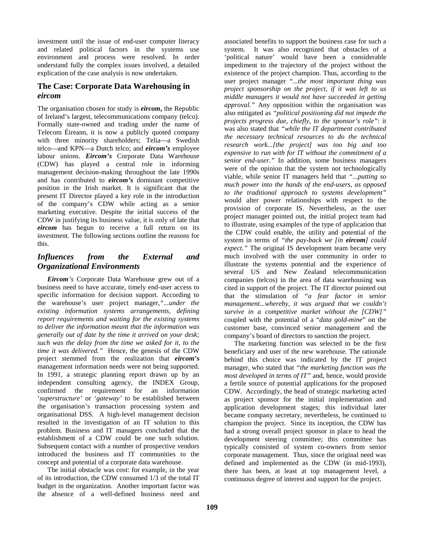investment until the issue of end-user computer literacy and related political factors in the systems use environment and process were resolved. In order understand fully the complex issues involved, a detailed explication of the case analysis is now undertaken.

#### **The Case: Corporate Data Warehousing in** *eircom*

The organisation chosen for study is *eircom***,** the Republic of Ireland's largest, telecommunications company (telco). Formally state-owned and trading under the name of Telecom Éireann, it is now a publicly quoted company with three minority shareholders; Telia—a Swedish telco—and KPN—a Dutch telco; and *eircom's* employee labour unions. *Eircom's* Corporate Data Warehouse (CDW) has played a central role in informing management decision-making throughout the late 1990s and has contributed to *eircom's* dominant competitive position in the Irish market. It is significant that the present IT Director played a key role in the introduction of the company's CDW while acting as a senior marketing executive. Despite the initial success of the CDW in justifying its business value, it is only of late that *eircom* has begun to receive a full return on its investment. The following sections outline the reasons for this.

## *Influences from the External and Organizational Environments*

*Eircom's* Corporate Data Warehouse grew out of a business need to have accurate, timely end-user access to specific information for decision support. According to the warehouse's user project manager,*"...under the existing information systems arrangements, defining report requirements and waiting for the existing systems to deliver the information meant that the information was generally out of date by the time it arrived on your desk; such was the delay from the time we asked for it, to the time it was delivered."* Hence, the genesis of the CDW project stemmed from the realization that *eircom***'s**  management information needs were not being supported. In 1991, a strategic planning report drawn up by an independent consulting agency, the INDEX Group, confirmed the requirement for an information '*superstructure'* or *'gateway'* to be established between the organisation's transaction processing system and organisational DSS. A high-level management decision resulted in the investigation of an IT solution to this problem. Business and IT managers concluded that the establishment of a CDW could be one such solution. Subsequent contact with a number of prospective vendors introduced the business and IT communities to the concept and potential of a corporate data warehouse.

The initial obstacle was cost: for example, in the year of its introduction, the CDW consumed 1/3 of the total IT budget in the organization. Another important factor was the absence of a well-defined business need and

associated benefits to support the business case for such a system. It was also recognized that obstacles of a 'political nature' would have been a considerable impediment to the trajectory of the project without the existence of the project champion. Thus, according to the user project manager "*...the most important thing was project sponsorship on the project, if it was left to us middle managers it would not have succeeded in getting approval."* Any opposition within the organisation was also mitigated as *"political positioning did not impede the projects progress due, chiefly, to the sponsor's role"*: it was also stated that *"while the IT department contributed the necessary technical resources to do the technical research work...[the project] was too big and too expensive to run with for IT without the commitment of a senior end-user."* In addition, some business managers were of the opinion that the system not technologically viable, while senior IT managers held that *"...putting so much power into the hands of the end-users, as opposed to the traditional approach to systems development"* would alter power relationships with respect to the provision of corporate IS. Nevertheless, as the user project manager pointed out, the initial project team had to illustrate, using examples of the type of application that the CDW could enable, the utility and potential of the system in terms of *"the pay-back we [in eircom] could expect."* The original IS development team became very much involved with the user community in order to illustrate the systems potential and the experience of several US and New Zealand telecommunication companies (telcos) in the area of data warehousing was cited in support of the project. The IT director pointed out that the stimulation of *"a fear factor in senior management...whereby, it was argued that we couldn't survive in a competitive market without the [CDW]"* coupled with the potential of a "*data gold-mine*" on the customer base, convinced senior management and the company's board of directors to sanction the project.

The marketing function was selected to be the first beneficiary and user of the new warehouse. The rationale behind this choice was indicated by the IT project manager, who stated that *"the marketing function was the most developed in terms of IT"* and, hence, would provide a fertile source of potential applications for the proposed CDW. Accordingly, the head of strategic marketing acted as project sponsor for the initial implementation and application development stages; this individual later became company secretary, nevertheless, he continued to champion the project. Since its inception, the CDW has had a strong overall project sponsor in place to head the development steering committee; this committee has typically consisted of system co-owners from senior corporate management. Thus, since the original need was defined and implemented as the CDW (in mid-1993), there has been, at least at top management level, a continuous degree of interest and support for the project.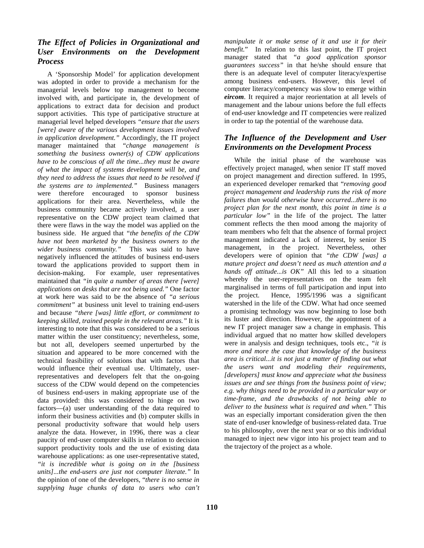#### *The Effect of Policies in Organizational and User Environments on the Development Process*

A 'Sponsorship Model' for application development was adopted in order to provide a mechanism for the managerial levels below top management to become involved with, and participate in, the development of applications to extract data for decision and product support activities. This type of participative structure at managerial level helped developers *"ensure that the users [were] aware of the various development issues involved in application development."* Accordingly, the IT project manager maintained that *"change management is something the business owner(s) of CDW applications have to be conscious of all the time...they must be aware of what the impact of systems development will be, and they need to address the issues that need to be resolved if the systems are to implemented."* Business managers were therefore encouraged to sponsor business applications for their area. Nevertheless, while the business community became actively involved, a user representative on the CDW project team claimed that there were flaws in the way the model was applied on the business side. He argued that *"the benefits of the CDW have not been marketed by the business owners to the wider business community."* This was said to have negatively influenced the attitudes of business end-users toward the applications provided to support them in decision-making. For example*,* user representatives maintained that *"in quite a number of areas there [were] applications on desks that are not being used."* One factor at work here was said to be the absence of *"a serious commitment"* at business unit level to training end-users and because *"there [was] little effort, or commitment to keeping skilled, trained people in the relevant areas."* It is interesting to note that this was considered to be a serious matter within the user constituency; nevertheless, some, but not all, developers seemed unperturbed by the situation and appeared to be more concerned with the technical feasibility of solutions that with factors that would influence their eventual use. Ultimately, userrepresentatives and developers felt that the on-going success of the CDW would depend on the competencies of business end-users in making appropriate use of the data provided: this was considered to hinge on two factors—(a) user understanding of the data required to inform their business activities and (b) computer skills in personal productivity software that would help users analyze the data. However, in 1996, there was a clear paucity of end-user computer skills in relation to decision support productivity tools and the use of existing data warehouse applications: as one user-representative stated, *"it is incredible what is going on in the [business units]...the end-users are just not computer literate."* In the opinion of one of the developers, "*there is no sense in supplying huge chunks of data to users who can't* 

*manipulate it or make sense of it and use it for their benefit.*" In relation to this last point, the IT project manager stated that *"a good application sponsor guarantees success"* in that he/she should ensure that there is an adequate level of computer literacy/expertise among business end-users. However, this level of computer literacy/competency was slow to emerge within *eircom*. It required a major reorientation at all levels of management and the labour unions before the full effects of end-user knowledge and IT competencies were realized in order to tap the potential of the warehouse data.

#### *The Influence of the Development and User Environments on the Development Process*

While the initial phase of the warehouse was effectively project managed, when senior IT staff moved on project management and direction suffered. In 1995, an experienced developer remarked that "*removing good project management and leadership runs the risk of more failures than would otherwise have occurred...there is no project plan for the next month, this point in time is a particular low"* in the life of the project*.* The latter comment reflects the then mood among the majority of team members who felt that the absence of formal project management indicated a lack of interest, by senior IS management, in the project. Nevertheless, other developers were of opinion that *"the CDW [was] a mature project and doesn't need as much attention and a hands off attitude...is OK"* All this led to a situation whereby the user-representatives on the team felt marginalised in terms of full participation and input into the project. Hence, 1995/1996 was a significant watershed in the life of the CDW. What had once seemed a promising technology was now beginning to lose both its luster and direction. However, the appointment of a new IT project manager saw a change in emphasis. This individual argued that no matter how skilled developers were in analysis and design techniques, tools etc., *"it is more and more the case that knowledge of the business area is critical...it is not just a matter of finding out what the users want and modeling their requirements, [developers] must know and appreciate what the business issues are and see things from the business point of view; e.g. why things need to be provided in a particular way or time-frame, and the drawbacks of not being able to deliver to the business what is required and when."* This was an especially important consideration given the then state of end-user knowledge of business-related data. True to his philosophy, over the next year or so this individual managed to inject new vigor into his project team and to the trajectory of the project as a whole.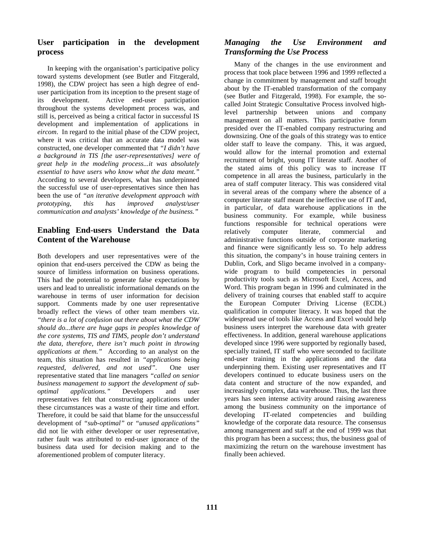#### **User participation in the development process**

In keeping with the organisation's participative policy toward systems development (see Butler and Fitzgerald, 1998), the CDW project has seen a high degree of enduser participation from its inception to the present stage of<br>its development. Active end-user participation Active end-user participation throughout the systems development process was, and still is, perceived as being a critical factor in successful IS development and implementation of applications in *eircom*. In regard to the initial phase of the CDW project, where it was critical that an accurate data model was constructed, one developer commented that *"I didn't have a background in TIS [the user-representatives] were of great help in the modeling process...it was absolutely essential to have users who know what the data meant."*  According to several developers, what has underpinned the successful use of user-representatives since then has been the use of *"an iterative development approach with prototyping, this has improved analyst/user communication and analysts' knowledge of the business."*

## **Enabling End-users Understand the Data Content of the Warehouse**

Both developers and user representatives were of the opinion that end-users perceived the CDW as being the source of limitless information on business operations. This had the potential to generate false expectations by users and lead to unrealistic informational demands on the warehouse in terms of user information for decision support. Comments made by one user representative broadly reflect the views of other team members viz. *"there is a lot of confusion out there about what the CDW should do...there are huge gaps in peoples knowledge of the core systems, TIS and TIMS, people don't understand the data, therefore, there isn't much point in throwing applications at them."* According to an analyst on the team, this situation has resulted in *"applications being requested, delivered, and not used"*. One user representative stated that line managers *"called on senior business management to support the development of suboptimal applications."* Developers and user representatives felt that constructing applications under these circumstances was a waste of their time and effort*.*  Therefore, it could be said that blame for the unsuccessful development of *"sub-optimal"* or *"unused applications"* did not lie with either developer or user representative, rather fault was attributed to end-user ignorance of the business data used for decision making and to the aforementioned problem of computer literacy.

#### *Managing the Use Environment and Transforming the Use Process*

Many of the changes in the use environment and process that took place between 1996 and 1999 reflected a change in commitment by management and staff brought about by the IT-enabled transformation of the company (see Butler and Fitzgerald, 1998). For example, the socalled Joint Strategic Consultative Process involved highlevel partnership between unions and company management on all matters. This participative forum presided over the IT-enabled company restructuring and downsizing. One of the goals of this strategy was to entice older staff to leave the company. This, it was argued, would allow for the internal promotion and external recruitment of bright, young IT literate staff. Another of the stated aims of this policy was to increase IT competence in all areas the business, particularly in the area of staff computer literacy. This was considered vital in several areas of the company where the absence of a computer literate staff meant the ineffective use of IT and, in particular, of data warehouse applications in the business community. For example, while business functions responsible for technical operations were relatively computer literate, commercial and administrative functions outside of corporate marketing and finance were significantly less so. To help address this situation, the company's in house training centers in Dublin, Cork, and Sligo became involved in a companywide program to build competencies in personal productivity tools such as Microsoft Excel, Access, and Word. This program began in 1996 and culminated in the delivery of training courses that enabled staff to acquire the European Computer Driving License (ECDL) qualification in computer literacy. It was hoped that the widespread use of tools like Access and Excel would help business users interpret the warehouse data with greater effectiveness. In addition, general warehouse applications developed since 1996 were supported by regionally based, specially trained, IT staff who were seconded to facilitate end-user training in the applications and the data underpinning them. Existing user representatives and IT developers continued to educate business users on the data content and structure of the now expanded, and increasingly complex, data warehouse. Thus, the last three years has seen intense activity around raising awareness among the business community on the importance of developing IT-related competencies and building knowledge of the corporate data resource. The consensus among management and staff at the end of 1999 was that this program has been a success; thus, the business goal of maximizing the return on the warehouse investment has finally been achieved.